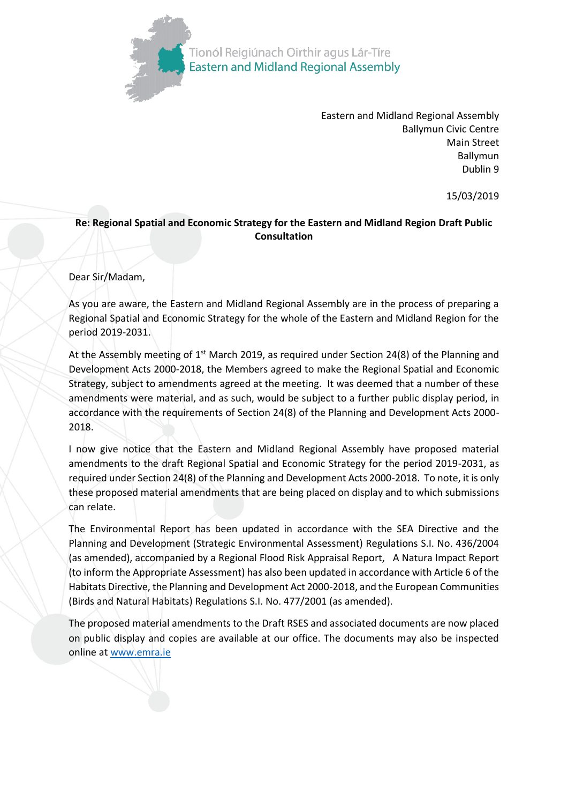

Eastern and Midland Regional Assembly Ballymun Civic Centre Main Street Ballymun Dublin 9

15/03/2019

## **Re: Regional Spatial and Economic Strategy for the Eastern and Midland Region Draft Public Consultation**

## Dear Sir/Madam,

As you are aware, the Eastern and Midland Regional Assembly are in the process of preparing a Regional Spatial and Economic Strategy for the whole of the Eastern and Midland Region for the period 2019-2031.

At the Assembly meeting of  $1<sup>st</sup>$  March 2019, as required under Section 24(8) of the Planning and Development Acts 2000-2018, the Members agreed to make the Regional Spatial and Economic Strategy, subject to amendments agreed at the meeting. It was deemed that a number of these amendments were material, and as such, would be subject to a further public display period, in accordance with the requirements of Section 24(8) of the Planning and Development Acts 2000- 2018.

I now give notice that the Eastern and Midland Regional Assembly have proposed material amendments to the draft Regional Spatial and Economic Strategy for the period 2019-2031, as required under Section 24(8) of the Planning and Development Acts 2000-2018. To note, it is only these proposed material amendments that are being placed on display and to which submissions can relate.

The Environmental Report has been updated in accordance with the SEA Directive and the Planning and Development (Strategic Environmental Assessment) Regulations S.I. No. 436/2004 (as amended), accompanied by a Regional Flood Risk Appraisal Report, A Natura Impact Report (to inform the Appropriate Assessment) has also been updated in accordance with Article 6 of the Habitats Directive, the Planning and Development Act 2000-2018, and the European Communities (Birds and Natural Habitats) Regulations S.I. No. 477/2001 (as amended).

The proposed material amendments to the Draft RSES and associated documents are now placed on public display and copies are available at our office. The documents may also be inspected online a[t www.emra.ie](http://www.emra.ie/)